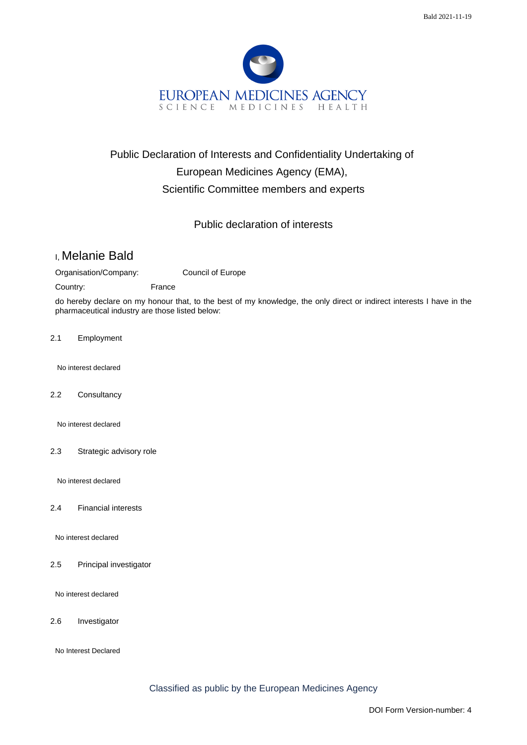

## Public Declaration of Interests and Confidentiality Undertaking of European Medicines Agency (EMA), Scientific Committee members and experts

## Public declaration of interests

## I, Melanie Bald

Organisation/Company: Council of Europe

Country: France

do hereby declare on my honour that, to the best of my knowledge, the only direct or indirect interests I have in the pharmaceutical industry are those listed below:

2.1 Employment

No interest declared

2.2 Consultancy

No interest declared

2.3 Strategic advisory role

No interest declared

2.4 Financial interests

No interest declared

2.5 Principal investigator

No interest declared

2.6 Investigator

No Interest Declared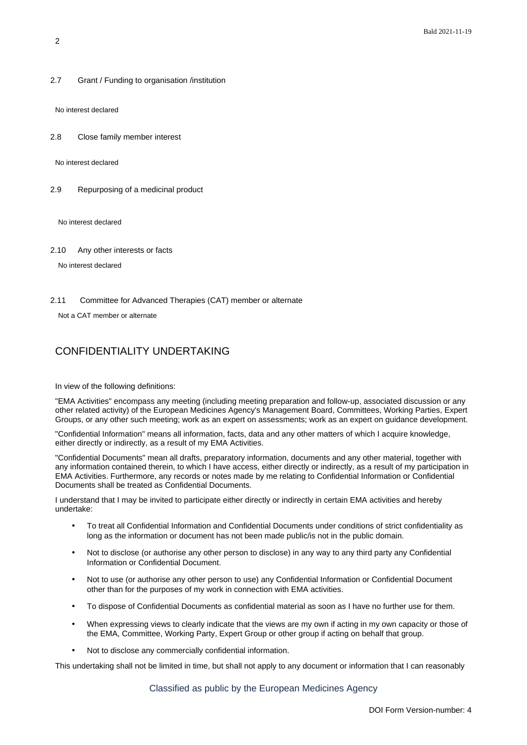2.7 Grant / Funding to organisation /institution

No interest declared

2.8 Close family member interest

No interest declared

2.9 Repurposing of a medicinal product

No interest declared

2.10 Any other interests or facts

No interest declared

2.11 Committee for Advanced Therapies (CAT) member or alternate

Not a CAT member or alternate

## CONFIDENTIALITY UNDERTAKING

In view of the following definitions:

"EMA Activities" encompass any meeting (including meeting preparation and follow-up, associated discussion or any other related activity) of the European Medicines Agency's Management Board, Committees, Working Parties, Expert Groups, or any other such meeting; work as an expert on assessments; work as an expert on guidance development.

"Confidential Information" means all information, facts, data and any other matters of which I acquire knowledge, either directly or indirectly, as a result of my EMA Activities.

"Confidential Documents" mean all drafts, preparatory information, documents and any other material, together with any information contained therein, to which I have access, either directly or indirectly, as a result of my participation in EMA Activities. Furthermore, any records or notes made by me relating to Confidential Information or Confidential Documents shall be treated as Confidential Documents.

I understand that I may be invited to participate either directly or indirectly in certain EMA activities and hereby undertake:

- To treat all Confidential Information and Confidential Documents under conditions of strict confidentiality as long as the information or document has not been made public/is not in the public domain.
- Not to disclose (or authorise any other person to disclose) in any way to any third party any Confidential Information or Confidential Document.
- Not to use (or authorise any other person to use) any Confidential Information or Confidential Document other than for the purposes of my work in connection with EMA activities.
- To dispose of Confidential Documents as confidential material as soon as I have no further use for them.
- When expressing views to clearly indicate that the views are my own if acting in my own capacity or those of the EMA, Committee, Working Party, Expert Group or other group if acting on behalf that group.
- Not to disclose any commercially confidential information.

This undertaking shall not be limited in time, but shall not apply to any document or information that I can reasonably

Classified as public by the European Medicines Agency